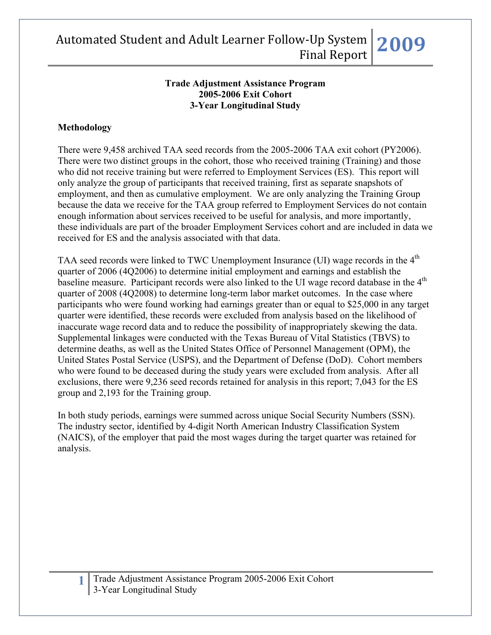### **Trade Adjustment Assistance Program 2005-2006 Exit Cohort 3-Year Longitudinal Study**

## **Methodology**

There were 9,458 archived TAA seed records from the 2005-2006 TAA exit cohort (PY2006). There were two distinct groups in the cohort, those who received training (Training) and those who did not receive training but were referred to Employment Services (ES). This report will only analyze the group of participants that received training, first as separate snapshots of employment, and then as cumulative employment. We are only analyzing the Training Group because the data we receive for the TAA group referred to Employment Services do not contain enough information about services received to be useful for analysis, and more importantly, these individuals are part of the broader Employment Services cohort and are included in data we received for ES and the analysis associated with that data.

TAA seed records were linked to TWC Unemployment Insurance (UI) wage records in the 4<sup>th</sup> quarter of 2006 (4Q2006) to determine initial employment and earnings and establish the baseline measure. Participant records were also linked to the UI wage record database in the  $4<sup>th</sup>$ quarter of 2008 (4Q2008) to determine long-term labor market outcomes. In the case where participants who were found working had earnings greater than or equal to \$25,000 in any target quarter were identified, these records were excluded from analysis based on the likelihood of inaccurate wage record data and to reduce the possibility of inappropriately skewing the data. Supplemental linkages were conducted with the Texas Bureau of Vital Statistics (TBVS) to determine deaths, as well as the United States Office of Personnel Management (OPM), the United States Postal Service (USPS), and the Department of Defense (DoD). Cohort members who were found to be deceased during the study years were excluded from analysis. After all exclusions, there were 9,236 seed records retained for analysis in this report; 7,043 for the ES group and 2,193 for the Training group.

In both study periods, earnings were summed across unique Social Security Numbers (SSN). The industry sector, identified by 4-digit North American Industry Classification System (NAICS), of the employer that paid the most wages during the target quarter was retained for analysis.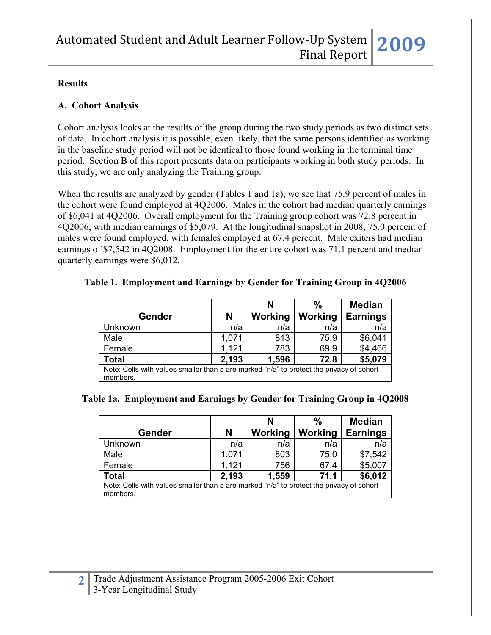### **Results**

### **A. Cohort Analysis**

Cohort analysis looks at the results of the group during the two study periods as two distinct sets of data. In cohort analysis it is possible, even likely, that the same persons identified as working in the baseline study period will not be identical to those found working in the terminal time period. Section B of this report presents data on participants working in both study periods. In this study, we are only analyzing the Training group.

When the results are analyzed by gender (Tables 1 and 1a), we see that 75.9 percent of males in the cohort were found employed at 4Q2006. Males in the cohort had median quarterly earnings of \$6,041 at 4Q2006. Overall employment for the Training group cohort was 72.8 percent in 4Q2006, with median earnings of \$5,079. At the longitudinal snapshot in 2008, 75.0 percent of males were found employed, with females employed at 67.4 percent. Male exiters had median earnings of \$7,542 in 4Q2008. Employment for the entire cohort was 71.1 percent and median quarterly earnings were \$6,012.

|                                                                                                      |       | N       | $\frac{0}{0}$ | <b>Median</b>   |  |  |  |  |
|------------------------------------------------------------------------------------------------------|-------|---------|---------------|-----------------|--|--|--|--|
| <b>Gender</b>                                                                                        | N     | Working | Working       | <b>Earnings</b> |  |  |  |  |
| Unknown                                                                                              | n/a   | n/a     | n/a           | n/a             |  |  |  |  |
| Male                                                                                                 | 1,071 | 813     | 75.9          | \$6,041         |  |  |  |  |
| Female                                                                                               | 1,121 | 783     | 69.9          | \$4,466         |  |  |  |  |
| <b>Total</b>                                                                                         | 2,193 | 1,596   | 72.8          | \$5,079         |  |  |  |  |
| Note: Cells with values smaller than 5 are marked "n/a" to protect the privacy of cohort<br>members. |       |         |               |                 |  |  |  |  |

### **Table 1. Employment and Earnings by Gender for Training Group in 4Q2006**

### **Table 1a. Employment and Earnings by Gender for Training Group in 4Q2008**

|                                                                                                      |       | N       | $\frac{0}{0}$ | <b>Median</b>   |  |  |  |  |
|------------------------------------------------------------------------------------------------------|-------|---------|---------------|-----------------|--|--|--|--|
| <b>Gender</b>                                                                                        | N     | Working | Working       | <b>Earnings</b> |  |  |  |  |
| Unknown                                                                                              | n/a   | n/a     | n/a           | n/a             |  |  |  |  |
| Male                                                                                                 | 1,071 | 803     | 75.0          | \$7,542         |  |  |  |  |
| Female                                                                                               | 1,121 | 756     | 67.4          | \$5,007         |  |  |  |  |
| <b>Total</b>                                                                                         | 2,193 | 1,559   | 71.1          | \$6,012         |  |  |  |  |
| Note: Cells with values smaller than 5 are marked "n/a" to protect the privacy of cohort<br>members. |       |         |               |                 |  |  |  |  |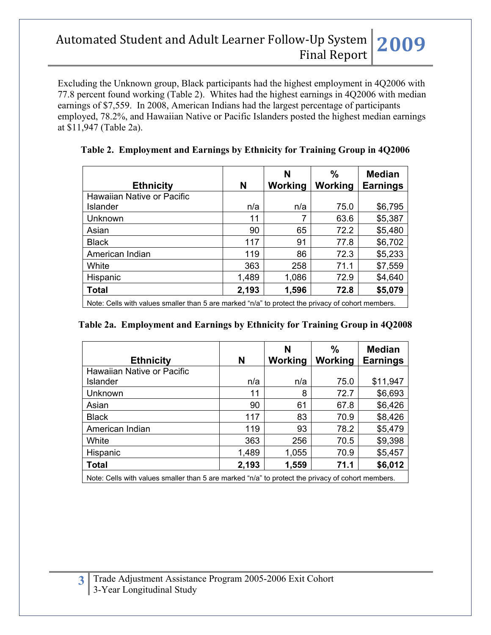Excluding the Unknown group, Black participants had the highest employment in 4Q2006 with 77.8 percent found working (Table 2). Whites had the highest earnings in 4Q2006 with median earnings of \$7,559. In 2008, American Indians had the largest percentage of participants employed, 78.2%, and Hawaiian Native or Pacific Islanders posted the highest median earnings at \$11,947 (Table 2a).

| N     | N<br>Working | %<br>Working | <b>Median</b><br><b>Earnings</b> |
|-------|--------------|--------------|----------------------------------|
|       |              |              |                                  |
| n/a   | n/a          | 75.0         | \$6,795                          |
| 11    | 7            | 63.6         | \$5,387                          |
| 90    | 65           | 72.2         | \$5,480                          |
| 117   | 91           | 77.8         | \$6,702                          |
| 119   | 86           | 72.3         | \$5,233                          |
| 363   | 258          | 71.1         | \$7,559                          |
| 1,489 | 1,086        | 72.9         | \$4,640                          |
| 2,193 | 1,596        | 72.8         | \$5,079                          |
|       |              |              |                                  |

## **Table 2. Employment and Earnings by Ethnicity for Training Group in 4Q2006**

Note: Cells with values smaller than 5 are marked "n/a" to protect the privacy of cohort members.

| <b>Ethnicity</b>           | N     | N<br>Working | $\frac{0}{0}$<br>Working | <b>Median</b><br><b>Earnings</b> |
|----------------------------|-------|--------------|--------------------------|----------------------------------|
| Hawaiian Native or Pacific |       |              |                          |                                  |
| <b>Islander</b>            | n/a   | n/a          | 75.0                     | \$11,947                         |
| Unknown                    | 11    | 8            | 72.7                     | \$6,693                          |
| Asian                      | 90    | 61           | 67.8                     | \$6,426                          |
| <b>Black</b>               | 117   | 83           | 70.9                     | \$8,426                          |
| American Indian            | 119   | 93           | 78.2                     | \$5,479                          |
| White                      | 363   | 256          | 70.5                     | \$9,398                          |
| Hispanic                   | 1,489 | 1,055        | 70.9                     | \$5,457                          |
| <b>Total</b>               | 2,193 | 1,559        | 71.1                     | \$6,012                          |

Note: Cells with values smaller than 5 are marked "n/a" to protect the privacy of cohort members.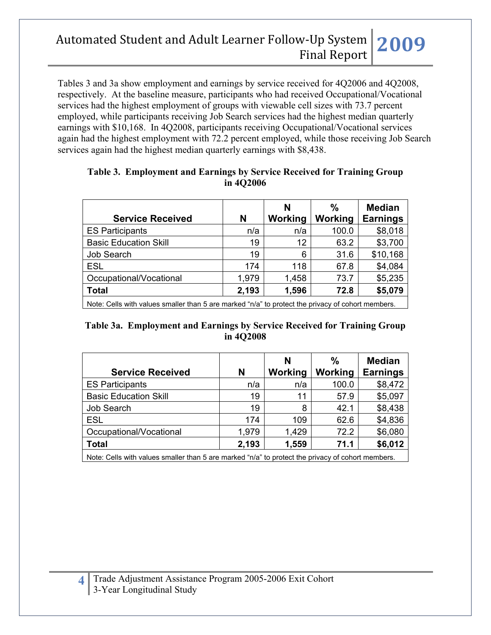Tables 3 and 3a show employment and earnings by service received for 4Q2006 and 4Q2008, respectively. At the baseline measure, participants who had received Occupational/Vocational services had the highest employment of groups with viewable cell sizes with 73.7 percent employed, while participants receiving Job Search services had the highest median quarterly earnings with \$10,168. In 4Q2008, participants receiving Occupational/Vocational services again had the highest employment with 72.2 percent employed, while those receiving Job Search services again had the highest median quarterly earnings with \$8,438.

| <b>Service Received</b>                                                                           | N     | N<br>Working | $\frac{0}{0}$<br>Working | <b>Median</b><br><b>Earnings</b> |  |  |  |  |
|---------------------------------------------------------------------------------------------------|-------|--------------|--------------------------|----------------------------------|--|--|--|--|
| <b>ES Participants</b>                                                                            | n/a   | n/a          | 100.0                    | \$8,018                          |  |  |  |  |
| <b>Basic Education Skill</b>                                                                      | 19    | 12           | 63.2                     | \$3,700                          |  |  |  |  |
| <b>Job Search</b>                                                                                 | 19    | 6            | 31.6                     | \$10,168                         |  |  |  |  |
| <b>ESL</b>                                                                                        | 174   | 118          | 67.8                     | \$4,084                          |  |  |  |  |
| Occupational/Vocational                                                                           | 1,979 | 1,458        | 73.7                     | \$5,235                          |  |  |  |  |
| <b>Total</b>                                                                                      | 2,193 | 1,596        | 72.8                     | \$5,079                          |  |  |  |  |
| Note: Cells with values smaller than 5 are marked "n/a" to protect the privacy of cohort members. |       |              |                          |                                  |  |  |  |  |

### **Table 3. Employment and Earnings by Service Received for Training Group in 4Q2006**

### **Table 3a. Employment and Earnings by Service Received for Training Group in 4Q2008**

|                                                                                                   |       | N       | %       | <b>Median</b>   |  |  |  |  |
|---------------------------------------------------------------------------------------------------|-------|---------|---------|-----------------|--|--|--|--|
| <b>Service Received</b>                                                                           | N     | Working | Working | <b>Earnings</b> |  |  |  |  |
| <b>ES Participants</b>                                                                            | n/a   | n/a     | 100.0   | \$8,472         |  |  |  |  |
| <b>Basic Education Skill</b>                                                                      | 19    | 11      | 57.9    | \$5,097         |  |  |  |  |
| <b>Job Search</b>                                                                                 | 19    | 8       | 42.1    | \$8,438         |  |  |  |  |
| <b>ESL</b>                                                                                        | 174   | 109     | 62.6    | \$4,836         |  |  |  |  |
| Occupational/Vocational                                                                           | 1,979 | 1,429   | 72.2    | \$6,080         |  |  |  |  |
| <b>Total</b>                                                                                      | 2,193 | 1,559   | 71.1    | \$6,012         |  |  |  |  |
| Note: Cells with values smaller than 5 are marked "n/a" to protect the privacy of cohort members. |       |         |         |                 |  |  |  |  |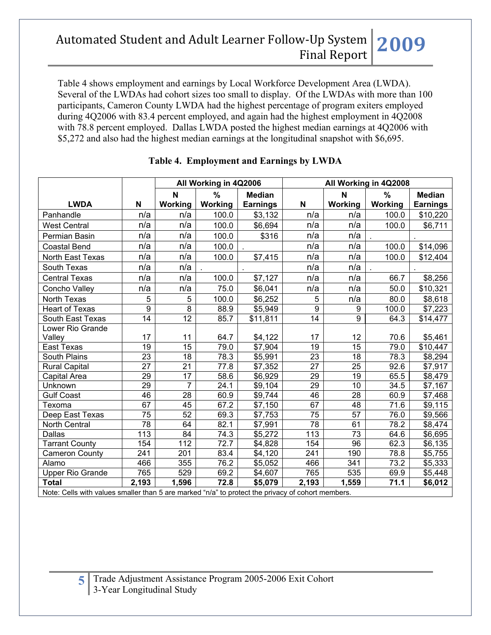Table 4 shows employment and earnings by Local Workforce Development Area (LWDA). Several of the LWDAs had cohort sizes too small to display. Of the LWDAs with more than 100 participants, Cameron County LWDA had the highest percentage of program exiters employed during 4Q2006 with 83.4 percent employed, and again had the highest employment in 4Q2008 with 78.8 percent employed. Dallas LWDA posted the highest median earnings at 4Q2006 with \$5,272 and also had the highest median earnings at the longitudinal snapshot with \$6,695.

|                                                                                                                    |                  | All Working in 4Q2006 |                   |                                  | All Working in 4Q2008 |                 |                          |                                  |
|--------------------------------------------------------------------------------------------------------------------|------------------|-----------------------|-------------------|----------------------------------|-----------------------|-----------------|--------------------------|----------------------------------|
| <b>LWDA</b>                                                                                                        | N                | N<br>Working          | $\%$<br>Working   | <b>Median</b><br><b>Earnings</b> | $\mathbf N$           | N<br>Working    | $\frac{9}{6}$<br>Working | <b>Median</b><br><b>Earnings</b> |
| Panhandle                                                                                                          | n/a              | n/a                   | 100.0             | \$3,132                          | n/a                   | n/a             | 100.0                    | \$10,220                         |
| <b>West Central</b>                                                                                                | n/a              | n/a                   | 100.0             | \$6,694                          | n/a                   | n/a             | 100.0                    | \$6,711                          |
| Permian Basin                                                                                                      | n/a              | n/a                   | 100.0             | \$316                            | n/a                   | n/a             |                          |                                  |
| <b>Coastal Bend</b>                                                                                                | n/a              | n/a                   | 100.0             |                                  | n/a                   | n/a             | 100.0                    | \$14,096                         |
| North East Texas                                                                                                   | n/a              | n/a                   | 100.0             | \$7,415                          | n/a                   | n/a             | 100.0                    | \$12,404                         |
| South Texas                                                                                                        | n/a              | n/a                   |                   |                                  | n/a                   | n/a             |                          |                                  |
| <b>Central Texas</b>                                                                                               | n/a              | n/a                   | 100.0             | \$7,127                          | n/a                   | n/a             | 66.7                     | \$8,256                          |
| Concho Valley                                                                                                      | n/a              | n/a                   | 75.0              | \$6,041                          | n/a                   | n/a             | 50.0                     | \$10,321                         |
| <b>North Texas</b>                                                                                                 | 5                | 5                     | 100.0             | \$6,252                          | 5                     | n/a             | 80.0                     | \$8,618                          |
| <b>Heart of Texas</b>                                                                                              | 9                | 8                     | 88.9              | \$5,949                          | 9                     | 9               | 100.0                    | \$7,223                          |
| South East Texas                                                                                                   | $\overline{14}$  | $\overline{12}$       | 85.7              | \$11,811                         | $\overline{14}$       | $\overline{9}$  | 64.3                     | $\sqrt{314,477}$                 |
| Lower Rio Grande                                                                                                   |                  |                       |                   |                                  |                       |                 |                          |                                  |
| Valley                                                                                                             | 17               | 11                    | 64.7              | \$4,122                          | 17                    | 12              | 70.6                     | \$5,461                          |
| East Texas                                                                                                         | $\overline{19}$  | $\overline{15}$       | $\overline{79.0}$ | \$7,904                          | $\overline{19}$       | 15              | 79.0                     | \$10,447                         |
| <b>South Plains</b>                                                                                                | $\overline{23}$  | 18                    | 78.3              | \$5,991                          | $\overline{23}$       | 18              | 78.3                     | \$8,294                          |
| <b>Rural Capital</b>                                                                                               | $\overline{27}$  | $\overline{21}$       | 77.8              | \$7,352                          | $\overline{27}$       | $\overline{25}$ | 92.6                     | \$7,917                          |
| Capital Area                                                                                                       | $\overline{29}$  | $\overline{17}$       | 58.6              | \$6,929                          | 29                    | 19              | 65.5                     | \$8,479                          |
| Unknown                                                                                                            | $\overline{29}$  | $\overline{7}$        | 24.1              | \$9,104                          | $\overline{29}$       | $\overline{10}$ | 34.5                     | \$7,167                          |
| <b>Gulf Coast</b>                                                                                                  | 46               | 28                    | 60.9              | \$9,744                          | 46                    | 28              | 60.9                     | \$7,468                          |
| Texoma                                                                                                             | 67               | $\overline{45}$       | 67.2              | \$7,150                          | 67                    | 48              | 71.6                     | \$9,115                          |
| Deep East Texas                                                                                                    | 75               | 52                    | 69.3              | \$7,753                          | 75                    | 57              | 76.0                     | \$9,566                          |
| <b>North Central</b>                                                                                               | $\overline{78}$  | 64                    | 82.1              | \$7,991                          | $\overline{78}$       | 61              | 78.2                     | \$8,474                          |
| <b>Dallas</b>                                                                                                      | $\overline{113}$ | $\overline{84}$       | 74.3              | \$5,272                          | $\overline{113}$      | $\overline{73}$ | 64.6                     | \$6,695                          |
| <b>Tarrant County</b>                                                                                              | 154              | 112                   | 72.7              | \$4,828                          | 154                   | 96              | 62.3                     | \$6,135                          |
| <b>Cameron County</b>                                                                                              | 241              | 201                   | 83.4              | \$4,120                          | 241                   | 190             | 78.8                     | \$5,755                          |
| Alamo                                                                                                              | 466              | 355                   | 76.2              | \$5,052                          | 466                   | 341             | 73.2                     | \$5,333                          |
| <b>Upper Rio Grande</b>                                                                                            | 765              | 529                   | 69.2              | \$4,607                          | 765                   | 535             | 69.9                     | \$5,448                          |
| <b>Total</b><br>Nato: Colle with values excellenthen E are medical "pla" to protect the points out of schemingspot | 2,193            | 1,596                 | 72.8              | \$5,079                          | 2,193                 | 1,559           | 71.1                     | \$6,012                          |

### **Table 4. Employment and Earnings by LWDA**

Note: Cells with values smaller than 5 are marked "n/a" to protect the privacy of cohort members.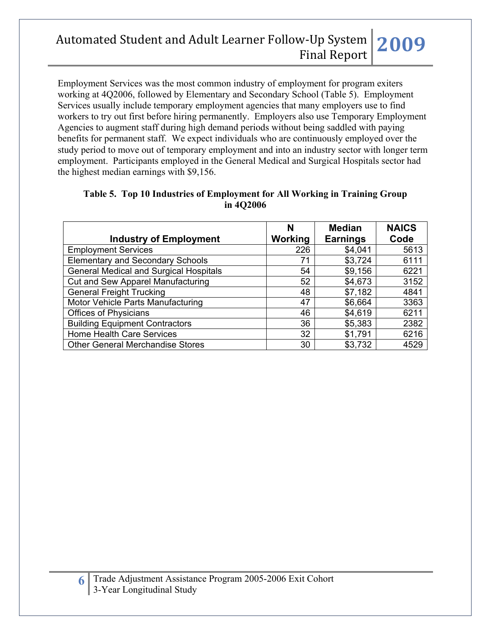Employment Services was the most common industry of employment for program exiters working at 4Q2006, followed by Elementary and Secondary School (Table 5). Employment Services usually include temporary employment agencies that many employers use to find workers to try out first before hiring permanently. Employers also use Temporary Employment Agencies to augment staff during high demand periods without being saddled with paying benefits for permanent staff. We expect individuals who are continuously employed over the study period to move out of temporary employment and into an industry sector with longer term employment. Participants employed in the General Medical and Surgical Hospitals sector had the highest median earnings with \$9,156.

| <b>Industry of Employment</b>                 | N<br>Working | <b>Median</b><br><b>Earnings</b> | <b>NAICS</b><br>Code |
|-----------------------------------------------|--------------|----------------------------------|----------------------|
| <b>Employment Services</b>                    | 226          | \$4,041                          | 5613                 |
| <b>Elementary and Secondary Schools</b>       | 71           | \$3,724                          | 6111                 |
| <b>General Medical and Surgical Hospitals</b> | 54           | \$9,156                          | 6221                 |
| Cut and Sew Apparel Manufacturing             | 52           | \$4,673                          | 3152                 |
| <b>General Freight Trucking</b>               | 48           | \$7,182                          | 4841                 |
| Motor Vehicle Parts Manufacturing             | 47           | \$6,664                          | 3363                 |
| <b>Offices of Physicians</b>                  | 46           | \$4,619                          | 6211                 |
| <b>Building Equipment Contractors</b>         | 36           | \$5,383                          | 2382                 |
| Home Health Care Services                     | 32           | \$1,791                          | 6216                 |
| <b>Other General Merchandise Stores</b>       | 30           | \$3,732                          | 4529                 |

### **Table 5. Top 10 Industries of Employment for All Working in Training Group in 4Q2006**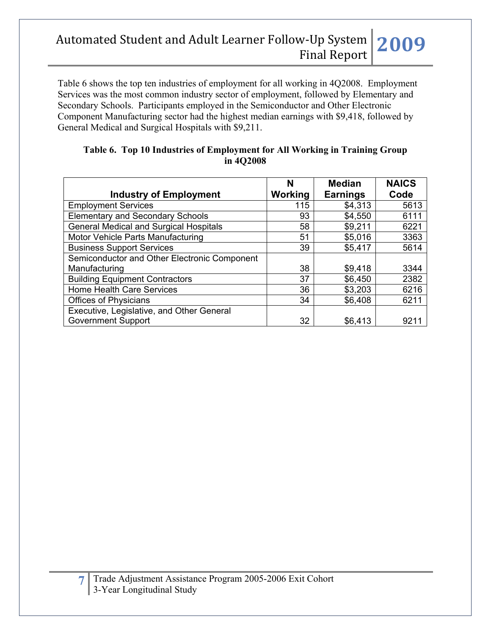Table 6 shows the top ten industries of employment for all working in 4Q2008. Employment Services was the most common industry sector of employment, followed by Elementary and Secondary Schools. Participants employed in the Semiconductor and Other Electronic Component Manufacturing sector had the highest median earnings with \$9,418, followed by General Medical and Surgical Hospitals with \$9,211.

|                                               | N       | <b>Median</b>   | <b>NAICS</b> |
|-----------------------------------------------|---------|-----------------|--------------|
| <b>Industry of Employment</b>                 | Working | <b>Earnings</b> | Code         |
| <b>Employment Services</b>                    | 115     | \$4,313         | 5613         |
| <b>Elementary and Secondary Schools</b>       | 93      | \$4,550         | 6111         |
| <b>General Medical and Surgical Hospitals</b> | 58      | \$9,211         | 6221         |
| Motor Vehicle Parts Manufacturing             | 51      | \$5,016         | 3363         |
| <b>Business Support Services</b>              | 39      | \$5,417         | 5614         |
| Semiconductor and Other Electronic Component  |         |                 |              |
| Manufacturing                                 | 38      | \$9,418         | 3344         |
| <b>Building Equipment Contractors</b>         | 37      | \$6,450         | 2382         |
| Home Health Care Services                     | 36      | \$3,203         | 6216         |
| <b>Offices of Physicians</b>                  | 34      | \$6,408         | 6211         |
| Executive, Legislative, and Other General     |         |                 |              |
| <b>Government Support</b>                     | 32      | \$6,413         | 921          |

### **Table 6. Top 10 Industries of Employment for All Working in Training Group in 4Q2008**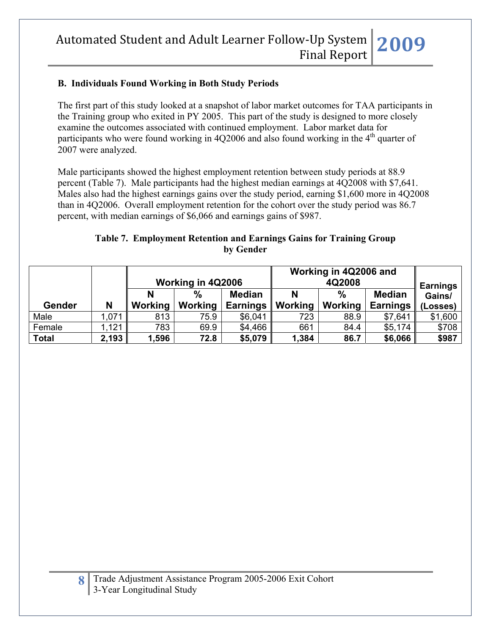### **B. Individuals Found Working in Both Study Periods**

The first part of this study looked at a snapshot of labor market outcomes for TAA participants in the Training group who exited in PY 2005. This part of the study is designed to more closely examine the outcomes associated with continued employment. Labor market data for participants who were found working in  $4Q2006$  and also found working in the  $4<sup>th</sup>$  quarter of 2007 were analyzed.

Male participants showed the highest employment retention between study periods at 88.9 percent (Table 7). Male participants had the highest median earnings at 4Q2008 with \$7,641. Males also had the highest earnings gains over the study period, earning \$1,600 more in 4Q2008 than in 4Q2006. Overall employment retention for the cohort over the study period was 86.7 percent, with median earnings of \$6,066 and earnings gains of \$987.

## **Table 7. Employment Retention and Earnings Gains for Training Group by Gender**

|              |       | Working in 4Q2006 |               |                 | Working in 4Q2006 and | <b>Earnings</b> |                 |          |
|--------------|-------|-------------------|---------------|-----------------|-----------------------|-----------------|-----------------|----------|
|              |       |                   | $\frac{0}{0}$ | <b>Median</b>   |                       | $\frac{0}{0}$   | <b>Median</b>   | Gains/   |
| Gender       | N     | Working           | Working       | <b>Earnings</b> | Working               | Working         | <b>Earnings</b> | (Losses) |
| Male         | 1,071 | 813               | 75.9          | \$6,041         | 723                   | 88.9            | \$7,641         | \$1,600  |
| Female       | 1,121 | 783               | 69.9          | \$4,466         | 661                   | 84.4            | \$5,174         | \$708    |
| <b>Total</b> | 2,193 | 1,596             | 72.8          | \$5,079         | 1,384                 | 86.7            | \$6,066         | \$987    |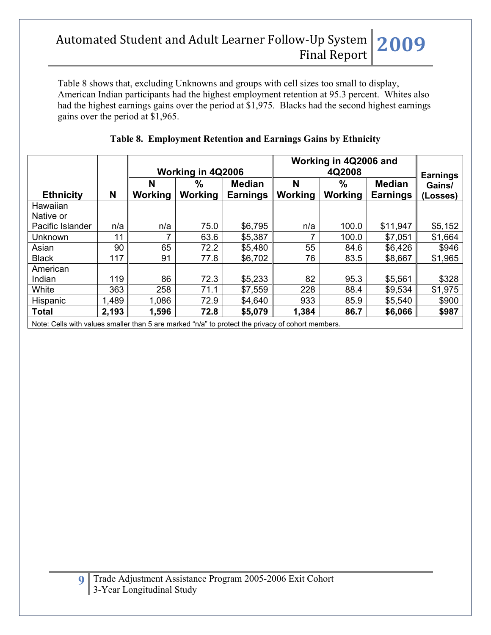Table 8 shows that, excluding Unknowns and groups with cell sizes too small to display, American Indian participants had the highest employment retention at 95.3 percent. Whites also had the highest earnings gains over the period at \$1,975. Blacks had the second highest earnings gains over the period at \$1,965.

|                                                                                                   |       | Working in 4Q2006 |                |                 | Working in 4Q2006 and | <b>Earnings</b> |               |          |
|---------------------------------------------------------------------------------------------------|-------|-------------------|----------------|-----------------|-----------------------|-----------------|---------------|----------|
|                                                                                                   |       | N                 | %              | <b>Median</b>   | N                     | $\%$            | <b>Median</b> | Gains/   |
| <b>Ethnicity</b>                                                                                  | N     | Working           | <b>Working</b> | <b>Earnings</b> | <b>Working</b>        | Working         | Earnings      | (Losses) |
| Hawaiian                                                                                          |       |                   |                |                 |                       |                 |               |          |
| Native or                                                                                         |       |                   |                |                 |                       |                 |               |          |
| Pacific Islander                                                                                  | n/a   | n/a               | 75.0           | \$6,795         | n/a                   | 100.0           | \$11,947      | \$5,152  |
| Unknown                                                                                           | 11    | 7                 | 63.6           | \$5,387         |                       | 100.0           | \$7,051       | \$1,664  |
| Asian                                                                                             | 90    | 65                | 72.2           | \$5,480         | 55                    | 84.6            | \$6,426       | \$946    |
| <b>Black</b>                                                                                      | 117   | 91                | 77.8           | \$6,702         | 76                    | 83.5            | \$8,667       | \$1,965  |
| American                                                                                          |       |                   |                |                 |                       |                 |               |          |
| Indian                                                                                            | 119   | 86                | 72.3           | \$5,233         | 82                    | 95.3            | \$5,561       | \$328    |
| White                                                                                             | 363   | 258               | 71.1           | \$7,559         | 228                   | 88.4            | \$9,534       | \$1,975  |
| Hispanic                                                                                          | 1,489 | 1,086             | 72.9           | \$4,640         | 933                   | 85.9            | \$5,540       | \$900    |
| <b>Total</b>                                                                                      | 2,193 | 1,596             | 72.8           | \$5,079         | 1,384                 | 86.7            | \$6,066       | \$987    |
| Note: Cells with values smaller than 5 are marked "n/a" to protect the privacy of cohort members. |       |                   |                |                 |                       |                 |               |          |

## **Table 8. Employment Retention and Earnings Gains by Ethnicity**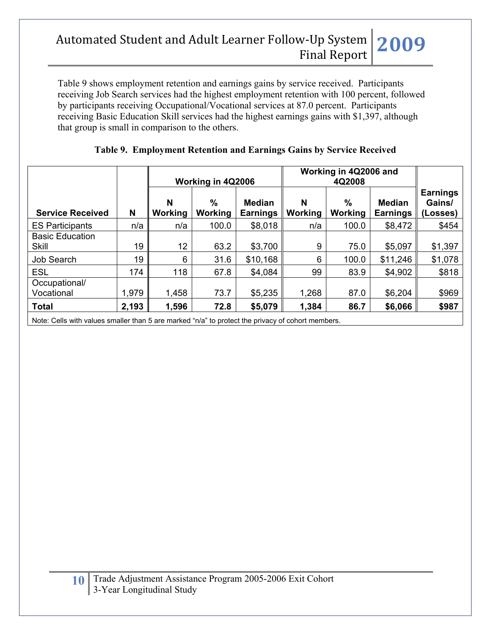Table 9 shows employment retention and earnings gains by service received. Participants receiving Job Search services had the highest employment retention with 100 percent, followed by participants receiving Occupational/Vocational services at 87.0 percent. Participants receiving Basic Education Skill services had the highest earnings gains with \$1,397, although that group is small in comparison to the others.

|                         |       |                     | Working in 4Q2006 |                                  | Working in 4Q2006 and |                          |                                  |                                       |
|-------------------------|-------|---------------------|-------------------|----------------------------------|-----------------------|--------------------------|----------------------------------|---------------------------------------|
| <b>Service Received</b> | N     | N<br><b>Working</b> | $\%$<br>Working   | <b>Median</b><br><b>Earnings</b> | N<br><b>Working</b>   | $\frac{9}{6}$<br>Working | <b>Median</b><br><b>Earnings</b> | <b>Earnings</b><br>Gains/<br>(Losses) |
| <b>ES Participants</b>  | n/a   | n/a                 | 100.0             | \$8,018                          | n/a                   | 100.0                    | \$8,472                          | \$454                                 |
| <b>Basic Education</b>  |       |                     |                   |                                  |                       |                          |                                  |                                       |
| Skill                   | 19    | 12                  | 63.2              | \$3,700                          | 9                     | 75.0                     | \$5,097                          | \$1,397                               |
| Job Search              | 19    | 6                   | 31.6              | \$10,168                         | 6                     | 100.0                    | \$11,246                         | \$1,078                               |
| <b>ESL</b>              | 174   | 118                 | 67.8              | \$4,084                          | 99                    | 83.9                     | \$4,902                          | \$818                                 |
| Occupational/           |       |                     |                   |                                  |                       |                          |                                  |                                       |
| Vocational              | 1,979 | 1,458               | 73.7              | \$5,235                          | 1,268                 | 87.0                     | \$6,204                          | \$969                                 |
| <b>Total</b>            | 2,193 | 1,596               | 72.8              | \$5,079                          | 1,384                 | 86.7                     | \$6,066                          | \$987                                 |

## **Table 9. Employment Retention and Earnings Gains by Service Received**

Note: Cells with values smaller than 5 are marked "n/a" to protect the privacy of cohort members.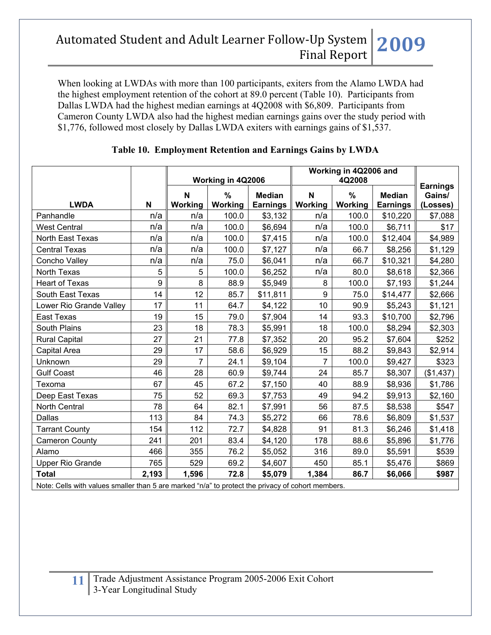When looking at LWDAs with more than 100 participants, exiters from the Alamo LWDA had the highest employment retention of the cohort at 89.0 percent (Table 10). Participants from Dallas LWDA had the highest median earnings at 4Q2008 with \$6,809. Participants from Cameron County LWDA also had the highest median earnings gains over the study period with \$1,776, followed most closely by Dallas LWDA exiters with earnings gains of \$1,537.

|                                                                                                   |             | Working in 4Q2006 |              |                                  | Working in 4Q2006 and |                          |                                  |                                       |
|---------------------------------------------------------------------------------------------------|-------------|-------------------|--------------|----------------------------------|-----------------------|--------------------------|----------------------------------|---------------------------------------|
| <b>LWDA</b>                                                                                       | $\mathbf N$ | N<br>Working      | %<br>Working | <b>Median</b><br><b>Earnings</b> | N<br>Working          | $\frac{0}{0}$<br>Working | <b>Median</b><br><b>Earnings</b> | <b>Earnings</b><br>Gains/<br>(Losses) |
| Panhandle                                                                                         | n/a         | n/a               | 100.0        | \$3,132                          | n/a                   | 100.0                    | \$10,220                         | \$7,088                               |
| <b>West Central</b>                                                                               | n/a         | n/a               | 100.0        | \$6,694                          | n/a                   | 100.0                    | \$6,711                          | \$17                                  |
| North East Texas                                                                                  | n/a         | n/a               | 100.0        | \$7,415                          | n/a                   | 100.0                    | \$12,404                         | \$4,989                               |
| <b>Central Texas</b>                                                                              | n/a         | n/a               | 100.0        | \$7,127                          | n/a                   | 66.7                     | \$8,256                          | \$1,129                               |
| Concho Valley                                                                                     | n/a         | n/a               | 75.0         | \$6,041                          | n/a                   | 66.7                     | \$10,321                         | \$4,280                               |
| <b>North Texas</b>                                                                                | 5           | 5                 | 100.0        | \$6,252                          | n/a                   | 80.0                     | \$8,618                          | \$2,366                               |
| <b>Heart of Texas</b>                                                                             | 9           | $\bf 8$           | 88.9         | \$5,949                          | 8                     | 100.0                    | \$7,193                          | \$1,244                               |
| South East Texas                                                                                  | 14          | 12                | 85.7         | \$11,811                         | 9                     | 75.0                     | \$14,477                         | \$2,666                               |
| Lower Rio Grande Valley                                                                           | 17          | 11                | 64.7         | \$4,122                          | 10                    | 90.9                     | \$5,243                          | \$1,121                               |
| <b>East Texas</b>                                                                                 | 19          | 15                | 79.0         | \$7,904                          | 14                    | 93.3                     | \$10,700                         | \$2,796                               |
| South Plains                                                                                      | 23          | 18                | 78.3         | \$5,991                          | 18                    | 100.0                    | \$8,294                          | \$2,303                               |
| <b>Rural Capital</b>                                                                              | 27          | 21                | 77.8         | \$7,352                          | 20                    | 95.2                     | \$7,604                          | \$252                                 |
| Capital Area                                                                                      | 29          | 17                | 58.6         | \$6,929                          | 15                    | 88.2                     | \$9,843                          | \$2,914                               |
| Unknown                                                                                           | 29          | 7                 | 24.1         | \$9,104                          | $\overline{7}$        | 100.0                    | \$9,427                          | \$323                                 |
| <b>Gulf Coast</b>                                                                                 | 46          | 28                | 60.9         | \$9,744                          | 24                    | 85.7                     | \$8,307                          | (\$1,437)                             |
| Texoma                                                                                            | 67          | 45                | 67.2         | \$7,150                          | 40                    | 88.9                     | \$8,936                          | \$1,786                               |
| Deep East Texas                                                                                   | 75          | 52                | 69.3         | \$7,753                          | 49                    | 94.2                     | \$9,913                          | \$2,160                               |
| <b>North Central</b>                                                                              | 78          | 64                | 82.1         | \$7,991                          | 56                    | 87.5                     | \$8,538                          | \$547                                 |
| Dallas                                                                                            | 113         | 84                | 74.3         | \$5,272                          | 66                    | 78.6                     | \$6,809                          | \$1,537                               |
| <b>Tarrant County</b>                                                                             | 154         | 112               | 72.7         | \$4,828                          | 91                    | 81.3                     | \$6,246                          | \$1,418                               |
| <b>Cameron County</b>                                                                             | 241         | 201               | 83.4         | \$4,120                          | 178                   | 88.6                     | \$5,896                          | \$1,776                               |
| Alamo                                                                                             | 466         | 355               | 76.2         | \$5,052                          | 316                   | 89.0                     | \$5,591                          | \$539                                 |
| <b>Upper Rio Grande</b>                                                                           | 765         | 529               | 69.2         | \$4,607                          | 450                   | 85.1                     | \$5,476                          | \$869                                 |
| <b>Total</b>                                                                                      | 2,193       | 1,596             | 72.8         | \$5,079                          | 1,384                 | 86.7                     | \$6,066                          | \$987                                 |
| Note: Cells with values smaller than 5 are marked "n/a" to protect the privacy of cohort members. |             |                   |              |                                  |                       |                          |                                  |                                       |

### **Table 10. Employment Retention and Earnings Gains by LWDA**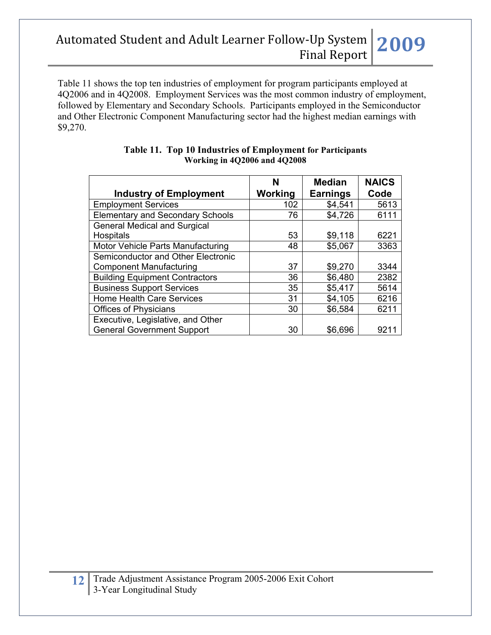Table 11 shows the top ten industries of employment for program participants employed at 4Q2006 and in 4Q2008. Employment Services was the most common industry of employment, followed by Elementary and Secondary Schools. Participants employed in the Semiconductor and Other Electronic Component Manufacturing sector had the highest median earnings with \$9,270.

|                                         | N       | <b>Median</b>   | <b>NAICS</b> |
|-----------------------------------------|---------|-----------------|--------------|
| <b>Industry of Employment</b>           | Working | <b>Earnings</b> | Code         |
| <b>Employment Services</b>              | 102     | \$4,541         | 5613         |
| <b>Elementary and Secondary Schools</b> | 76      | \$4,726         | 6111         |
| <b>General Medical and Surgical</b>     |         |                 |              |
| Hospitals                               | 53      | \$9,118         | 6221         |
| Motor Vehicle Parts Manufacturing       | 48      | \$5,067         | 3363         |
| Semiconductor and Other Electronic      |         |                 |              |
| <b>Component Manufacturing</b>          | 37      | \$9,270         | 3344         |
| <b>Building Equipment Contractors</b>   | 36      | \$6,480         | 2382         |
| <b>Business Support Services</b>        | 35      | \$5,417         | 5614         |
| <b>Home Health Care Services</b>        | 31      | \$4,105         | 6216         |
| <b>Offices of Physicians</b>            | 30      | \$6,584         | 6211         |
| Executive, Legislative, and Other       |         |                 |              |
| <b>General Government Support</b>       | 30      | \$6,696         | 921          |

### **Table 11. Top 10 Industries of Employment for Participants Working in 4Q2006 and 4Q2008**